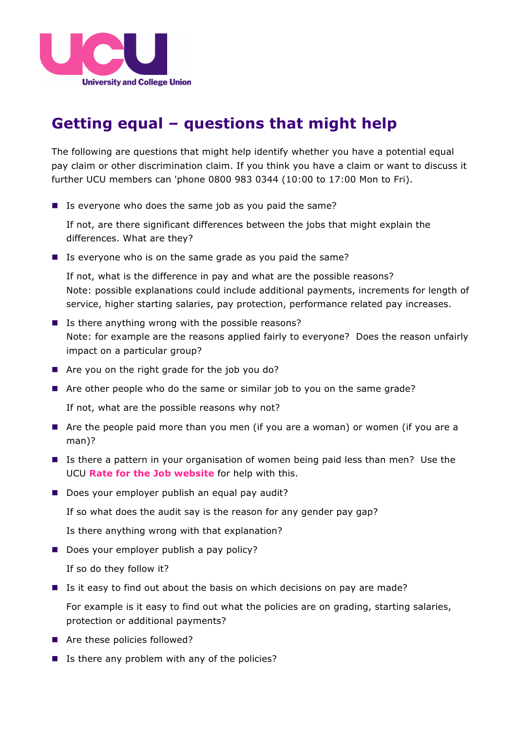

## **Getting equal – questions that might help**

The following are questions that might help identify whether you have a potential equal pay claim or other discrimination claim. If you think you have a claim or want to discuss it further UCU members can 'phone 0800 983 0344 (10:00 to 17:00 Mon to Fri).

 $\blacksquare$  Is everyone who does the same job as you paid the same?

If not, are there significant differences between the jobs that might explain the differences. What are they?

 $\blacksquare$  Is everyone who is on the same grade as you paid the same?

If not, what is the difference in pay and what are the possible reasons? Note: possible explanations could include additional payments, increments for length of service, higher starting salaries, pay protection, performance related pay increases.

- $\blacksquare$  Is there anything wrong with the possible reasons? Note: for example are the reasons applied fairly to everyone? Does the reason unfairly impact on a particular group?
- $\blacksquare$  Are you on the right grade for the job you do?
- Are other people who do the same or similar job to you on the same grade?

If not, what are the possible reasons why not?

- Are the people paid more than you men (if you are a woman) or women (if you are a man)?
- Is there a pattern in your organisation of women being paid less than men? Use the UCU **Rate for the Job website** for help with this.
- Does your employer publish an equal pay audit?

If so what does the audit say is the reason for any gender pay gap?

Is there anything wrong with that explanation?

 $\Box$  Does your employer publish a pay policy?

If so do they follow it?

■ Is it easy to find out about the basis on which decisions on pay are made?

For example is it easy to find out what the policies are on grading, starting salaries, protection or additional payments?

- Are these policies followed?
- $\blacksquare$  Is there any problem with any of the policies?